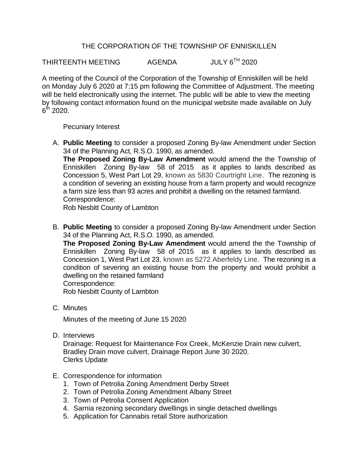## THE CORPORATION OF THE TOWNSHIP OF ENNISKILLEN

THIRTEENTH MEETING AGENDA JULY 6<sup>TH</sup> 2020

A meeting of the Council of the Corporation of the Township of Enniskillen will be held on Monday July 6 2020 at 7:15 pm following the Committee of Adjustment. The meeting will be held electronically using the internet. The public will be able to view the meeting by following contact information found on the municipal website made available on July  $6^{\rm th}$  2020.

## Pecuniary Interest

A. **Public Meeting** to consider a proposed Zoning By-law Amendment under Section 34 of the Planning Act, R.S.O. 1990, as amended.

**The Proposed Zoning By-Law Amendment** would amend the the Township of Enniskillen Zoning By-law 58 of 2015 as it applies to lands described as Concession 5, West Part Lot 29, known as 5830 Courtright Line. The rezoning is a condition of severing an existing house from a farm property and would recognize a farm size less than 93 acres and prohibit a dwelling on the retained farmland. Correspondence:

Rob Nesbitt County of Lambton

B. **Public Meeting** to consider a proposed Zoning By-law Amendment under Section 34 of the Planning Act, R.S.O. 1990, as amended.

**The Proposed Zoning By-Law Amendment** would amend the the Township of Enniskillen Zoning By-law 58 of 2015 as it applies to lands described as Concession 1, West Part Lot 23, known as 5272 Aberfeldy Line. The rezoning is a condition of severing an existing house from the property and would prohibit a dwelling on the retained farmland Correspondence:

Rob Nesbitt County of Lambton

C. Minutes

Minutes of the meeting of June 15 2020

D. Interviews

Drainage: Request for Maintenance Fox Creek, McKenzie Drain new culvert, Bradley Drain move culvert, Drainage Report June 30 2020. Clerks Update

- E. Correspondence for information
	- 1. Town of Petrolia Zoning Amendment Derby Street
	- 2. Town of Petrolia Zoning Amendment Albany Street
	- 3. Town of Petrolia Consent Application
	- 4. Sarnia rezoning secondary dwellings in single detached dwellings
	- 5. Application for Cannabis retail Store authorization